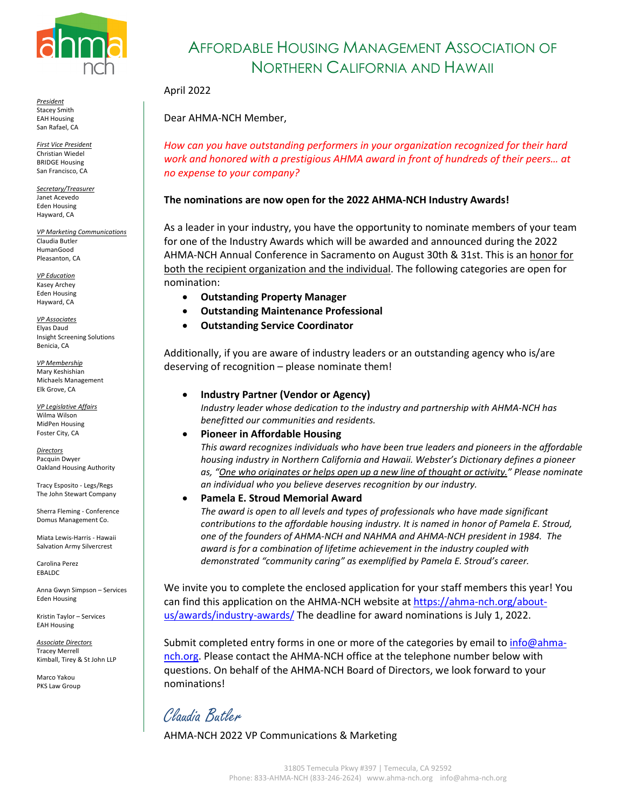

*President* Stacey Smith EAH Housing San Rafael, CA

*First Vice President* Christian Wiedel BRIDGE Housing San Francisco, CA

*Secretary/Treasurer* Janet Acevedo Eden Housing Hayward, CA

*VP Marketing Communications* Claudia Butler HumanGood Pleasanton, CA

*VP Education* Kasey Archey Eden Housing Hayward, CA

*VP Associates* Elyas Daud Insight Screening Solutions Benicia, CA

*VP Membership* Mary Keshishian Michaels Management Elk Grove, CA

*VP Legislative Affairs* Wilma Wilson MidPen Housing Foster City, CA

*Directors* Pacquin Dwyer Oakland Housing Authority

Tracy Esposito - Legs/Regs The John Stewart Company

Sherra Fleming - Conference Domus Management Co.

Miata Lewis-Harris - Hawaii Salvation Army Silvercrest

Carolina Perez EBALDC

Anna Gwyn Simpson – Services Eden Housing

Kristin Taylor – Services EAH Housing

*Associate Directors* Tracey Merrell Kimball, Tirey & St John LLP

Marco Yakou PKS Law Group

## AFFORDABLE HOUSING MANAGEMENT ASSOCIATION OF NORTHERN CALIFORNIA AND HAWAII

#### April 2022

Dear AHMA-NCH Member,

*How can you have outstanding performers in your organization recognized for their hard work and honored with a prestigious AHMA award in front of hundreds of their peers… at no expense to your company?* 

#### **The nominations are now open for the 2022 AHMA-NCH Industry Awards!**

As a leader in your industry, you have the opportunity to nominate members of your team for one of the Industry Awards which will be awarded and announced during the 2022 AHMA-NCH Annual Conference in Sacramento on August 30th & 31st. This is an honor for both the recipient organization and the individual. The following categories are open for nomination:

- **Outstanding Property Manager**
- **Outstanding Maintenance Professional**
- **Outstanding Service Coordinator**

Additionally, if you are aware of industry leaders or an outstanding agency who is/are deserving of recognition – please nominate them!

• **Industry Partner (Vendor or Agency)**

*Industry leader whose dedication to the industry and partnership with AHMA-NCH has benefitted our communities and residents.*

• **Pioneer in Affordable Housing**

*This award recognizes individuals who have been true leaders and pioneers in the affordable housing industry in Northern California and Hawaii. Webster's Dictionary defines a pioneer as, "One who originates or helps open up a new line of thought or activity." Please nominate an individual who you believe deserves recognition by our industry.* 

• **Pamela E. Stroud Memorial Award**

*The award is open to all levels and types of professionals who have made significant contributions to the affordable housing industry. It is named in honor of Pamela E. Stroud, one of the founders of AHMA-NCH and NAHMA and AHMA-NCH president in 1984. The award is for a combination of lifetime achievement in the industry coupled with demonstrated "community caring" as exemplified by Pamela E. Stroud's career.* 

We invite you to complete the enclosed application for your staff members this year! You can find this application on the AHMA-NCH website a[t https://ahma-nch.org/about](https://ahma-nch.org/about-us/awards/industry-awards/)[us/awards/industry-awards/](https://ahma-nch.org/about-us/awards/industry-awards/) The deadline for award nominations is July 1, 2022.

Submit completed entry forms in one or more of the categories by email to info@ahmanch.org. Please contact the AHMA-NCH office at the telephone number below with questions. On behalf of the AHMA-NCH Board of Directors, we look forward to your nominations!

Claudia Butler

AHMA-NCH 2022 VP Communications & Marketing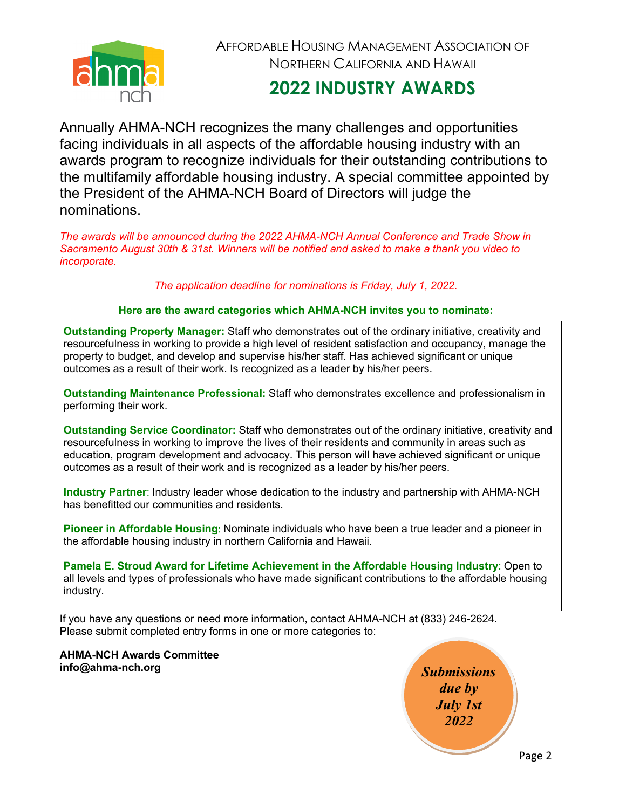

AFFORDABLE HOUSING MANAGEMENT ASSOCIATION OF NORTHERN CALIFORNIA AND HAWAII

# **2022 INDUSTRY AWARDS**

Annually AHMA-NCH recognizes the many challenges and opportunities facing individuals in all aspects of the affordable housing industry with an awards program to recognize individuals for their outstanding contributions to the multifamily affordable housing industry. A special committee appointed by the President of the AHMA-NCH Board of Directors will judge the nominations.

*The awards will be announced during the 2022 AHMA-NCH Annual Conference and Trade Show in Sacramento August 30th & 31st. Winners will be notified and asked to make a thank you video to incorporate.*

*The application deadline for nominations is Friday, July 1, 2022.*

#### **Here are the award categories which AHMA-NCH invites you to nominate:**

**Outstanding Property Manager:** Staff who demonstrates out of the ordinary initiative, creativity and resourcefulness in working to provide a high level of resident satisfaction and occupancy, manage the property to budget, and develop and supervise his/her staff. Has achieved significant or unique outcomes as a result of their work. Is recognized as a leader by his/her peers.

**Outstanding Maintenance Professional:** Staff who demonstrates excellence and professionalism in performing their work.

**Outstanding Service Coordinator:** Staff who demonstrates out of the ordinary initiative, creativity and resourcefulness in working to improve the lives of their residents and community in areas such as education, program development and advocacy. This person will have achieved significant or unique outcomes as a result of their work and is recognized as a leader by his/her peers.

**Industry Partner**: Industry leader whose dedication to the industry and partnership with AHMA-NCH has benefitted our communities and residents.

**Pioneer in Affordable Housing**: Nominate individuals who have been a true leader and a pioneer in the affordable housing industry in northern California and Hawaii.

**Pamela E. Stroud Award for Lifetime Achievement in the Affordable Housing Industry**: Open to all levels and types of professionals who have made significant contributions to the affordable housing industry.

If you have any questions or need more information, contact AHMA-NCH at (833) 246-2624. Please submit completed entry forms in one or more categories to:

**AHMA-NCH Awards Committee info@ahma-nch.org** *Submissions* 

*due by July 1st 2022*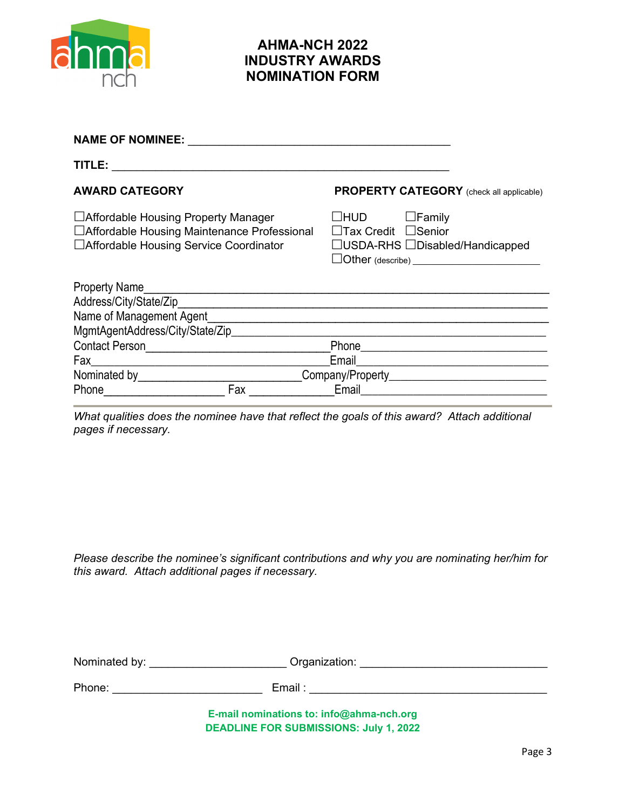

### **AHMA-NCH 2022 INDUSTRY AWARDS NOMINATION FORM**

| <b>NAME OF NOMINEE:</b>                                                                                                                                                                                                       |     |                                               |                                                                                                                        |
|-------------------------------------------------------------------------------------------------------------------------------------------------------------------------------------------------------------------------------|-----|-----------------------------------------------|------------------------------------------------------------------------------------------------------------------------|
| TITLE:                                                                                                                                                                                                                        |     |                                               |                                                                                                                        |
| <b>AWARD CATEGORY</b>                                                                                                                                                                                                         |     |                                               | <b>PROPERTY CATEGORY</b> (check all applicable)                                                                        |
| □ Affordable Housing Property Manager<br>□ Affordable Housing Maintenance Professional<br>□ Affordable Housing Service Coordinator                                                                                            |     | $\Box$ HUD<br>$\Box$ Tax Credit $\Box$ Senior | $\Box$ Family<br>$\Box$ USDA-RHS $\Box$ Disabled/Handicapped<br>$\Box$ Other (describe) ______________________________ |
| <b>Property Name</b>                                                                                                                                                                                                          |     |                                               |                                                                                                                        |
|                                                                                                                                                                                                                               |     |                                               |                                                                                                                        |
| Name of Management Agent Management Agent Management Agent Management Agent                                                                                                                                                   |     |                                               |                                                                                                                        |
| MgmtAgentAddress/City/State/Zip___________________                                                                                                                                                                            |     |                                               |                                                                                                                        |
| <b>Contact Person</b>                                                                                                                                                                                                         |     |                                               | Phone 2008 2009 2010 2010 2010 2010 2011 2021 2022 2023 2024 2022 2023 2024 2022 2023 2024 2025 2026 2027 2028         |
| Fax ______                                                                                                                                                                                                                    |     | Email                                         | <u> 1989 - Johann Barbara, martxa alemaniar a</u>                                                                      |
| Nominated by<br><u>Nominated</u> by                                                                                                                                                                                           |     |                                               | Company/Property_________________________________                                                                      |
| Phone and the contract of the contract of the contract of the contract of the contract of the contract of the contract of the contract of the contract of the contract of the contract of the contract of the contract of the | Fax | Email                                         |                                                                                                                        |

*What qualities does the nominee have that reflect the goals of this award? Attach additional pages if necessary.*

*Please describe the nominee's significant contributions and why you are nominating her/him for this award. Attach additional pages if necessary.*

Nominated by: \_\_\_\_\_\_\_\_\_\_\_\_\_\_\_\_\_\_\_\_\_\_\_\_\_\_\_\_ Organization: \_\_\_\_\_\_\_\_\_\_\_\_\_\_\_\_\_\_\_\_\_\_\_\_

Phone: \_\_\_\_\_\_\_\_\_\_\_\_\_\_\_\_\_\_\_\_\_\_\_\_ Email : \_\_\_\_\_\_\_\_\_\_\_\_\_\_\_\_\_\_\_\_\_\_\_\_\_\_\_\_\_\_\_\_\_\_\_\_\_\_

**E-mail nominations to: info@ahma-nch.org DEADLINE FOR SUBMISSIONS: July 1, 2022**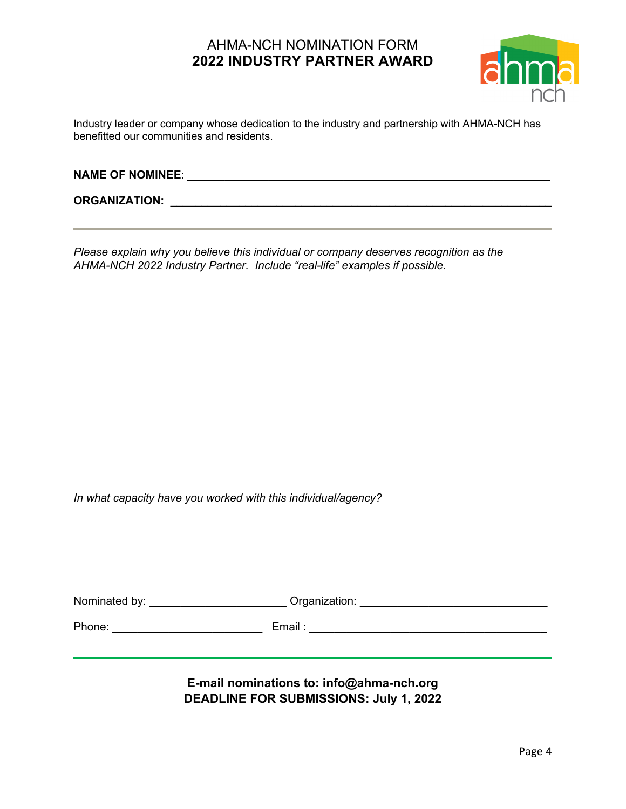## AHMA-NCH NOMINATION FORM **2022 INDUSTRY PARTNER AWARD**



Industry leader or company whose dedication to the industry and partnership with AHMA-NCH has benefitted our communities and residents.

| <b>NAME OF NOMINEE:</b> |  |
|-------------------------|--|
|                         |  |

**ORGANIZATION:** \_\_\_\_\_\_\_\_\_\_\_\_\_\_\_\_\_\_\_\_\_\_\_\_\_\_\_\_\_\_\_\_\_\_\_\_\_\_\_\_\_\_\_\_\_\_\_\_\_\_\_\_\_\_\_\_\_\_\_\_\_

*Please explain why you believe this individual or company deserves recognition as the AHMA-NCH 2022 Industry Partner. Include "real-life" examples if possible.*

*In what capacity have you worked with this individual/agency?*

| Nominated by: | Organization: |  |
|---------------|---------------|--|
| Phone:        | Email:        |  |
|               |               |  |

**E-mail nominations to: info@ahma-nch.org DEADLINE FOR SUBMISSIONS: July 1, 2022**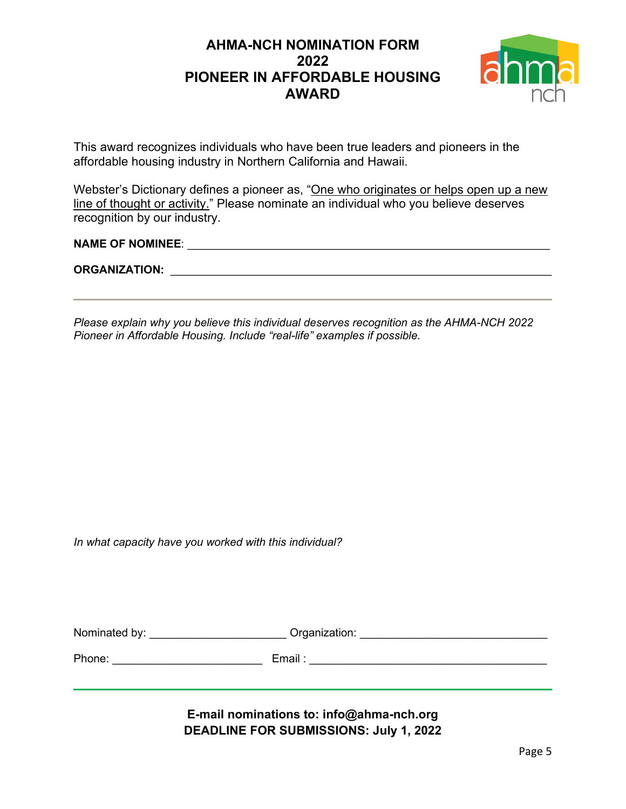## **AHMA-NCH NOMINATION FORM 2022 PIONEER IN AFFORDABLE HOUSING AWARD**



This award recognizes individuals who have been true leaders and pioneers in the affordable housing industry in Northern California and Hawaii.

Webster's Dictionary defines a pioneer as, "One who originates or helps open up a new line of thought or activity." Please nominate an individual who you believe deserves recognition by our industry.

## **NAME OF NOMINEE**: \_\_\_\_\_\_\_\_\_\_\_\_\_\_\_\_\_\_\_\_\_\_\_\_\_\_\_\_\_\_\_\_\_\_\_\_\_\_\_\_\_\_\_\_\_\_\_\_\_\_\_\_\_\_\_\_\_\_

**ORGANIZATION:** \_\_\_\_\_\_\_\_\_\_\_\_\_\_\_\_\_\_\_\_\_\_\_\_\_\_\_\_\_\_\_\_\_\_\_\_\_\_\_\_\_\_\_\_\_\_\_\_\_\_\_\_\_\_\_\_\_\_\_\_\_

*Please explain why you believe this individual deserves recognition as the AHMA-NCH 2022 Pioneer in Affordable Housing. Include "real-life" examples if possible.*

*In what capacity have you worked with this individual?*

| Nominated by: | Organization: |  |
|---------------|---------------|--|
|               |               |  |
| Phone:        | Email         |  |

#### **E-mail nominations to: info@ahma-nch.org DEADLINE FOR SUBMISSIONS: July 1, 2022**